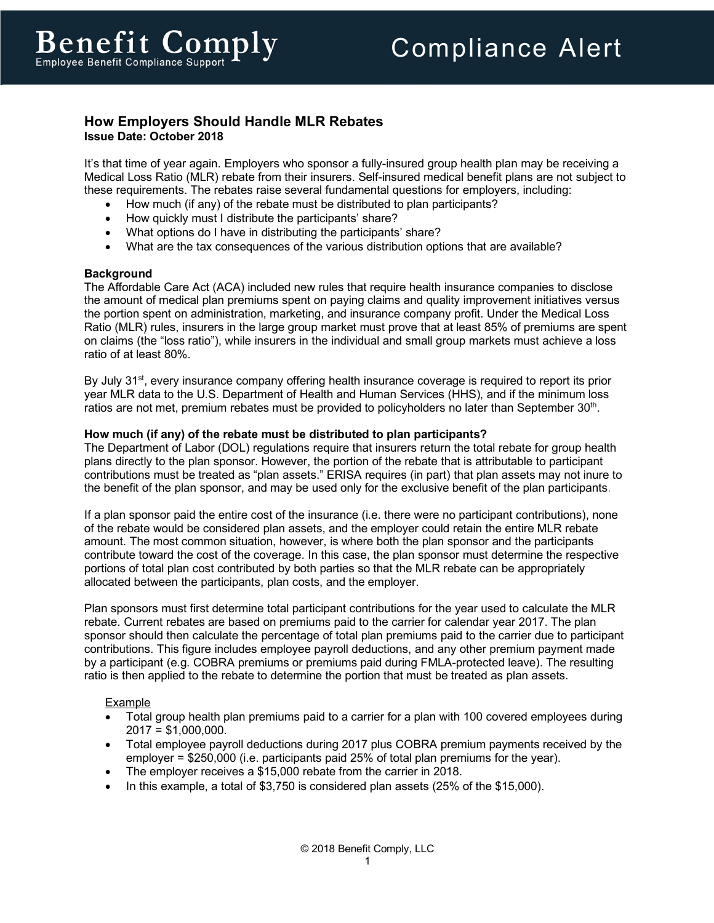# **How Employers Should Handle MLR Rebates Issue Date: October 2018**

It's that time of year again. Employers who sponsor a fully-insured group health plan may be receiving a Medical Loss Ratio (MLR) rebate from their insurers. Self-insured medical benefit plans are not subject to these requirements. The rebates raise several fundamental questions for employers, including:

- How much (if any) of the rebate must be distributed to plan participants?
- How quickly must I distribute the participants' share?
- What options do I have in distributing the participants' share?
- What are the tax consequences of the various distribution options that are available?

### **Background**

The Affordable Care Act (ACA) included new rules that require health insurance companies to disclose the amount of medical plan premiums spent on paying claims and quality improvement initiatives versus the portion spent on administration, marketing, and insurance company profit. Under the Medical Loss Ratio (MLR) rules, insurers in the large group market must prove that at least 85% of premiums are spent on claims (the "loss ratio"), while insurers in the individual and small group markets must achieve a loss ratio of at least 80%.

By July 31<sup>st</sup>, every insurance company offering health insurance coverage is required to report its prior year MLR data to the U.S. Department of Health and Human Services (HHS), and if the minimum loss ratios are not met, premium rebates must be provided to policyholders no later than September 30<sup>th</sup>.

### **How much (if any) of the rebate must be distributed to plan participants?**

The Department of Labor (DOL) regulations require that insurers return the total rebate for group health plans directly to the plan sponsor. However, the portion of the rebate that is attributable to participant contributions must be treated as "plan assets." ERISA requires (in part) that plan assets may not inure to the benefit of the plan sponsor, and may be used only for the exclusive benefit of the plan participants.

If a plan sponsor paid the entire cost of the insurance (i.e. there were no participant contributions), none of the rebate would be considered plan assets, and the employer could retain the entire MLR rebate amount. The most common situation, however, is where both the plan sponsor and the participants contribute toward the cost of the coverage. In this case, the plan sponsor must determine the respective portions of total plan cost contributed by both parties so that the MLR rebate can be appropriately allocated between the participants, plan costs, and the employer.

Plan sponsors must first determine total participant contributions for the year used to calculate the MLR rebate. Current rebates are based on premiums paid to the carrier for calendar year 2017. The plan sponsor should then calculate the percentage of total plan premiums paid to the carrier due to participant contributions. This figure includes employee payroll deductions, and any other premium payment made by a participant (e.g. COBRA premiums or premiums paid during FMLA-protected leave). The resulting ratio is then applied to the rebate to determine the portion that must be treated as plan assets.

# Example

- Total group health plan premiums paid to a carrier for a plan with 100 covered employees during  $2017 = $1,000,000$ .
- Total employee payroll deductions during 2017 plus COBRA premium payments received by the employer = \$250,000 (i.e. participants paid 25% of total plan premiums for the year).
- The employer receives a \$15,000 rebate from the carrier in 2018.
- In this example, a total of \$3,750 is considered plan assets (25% of the \$15,000).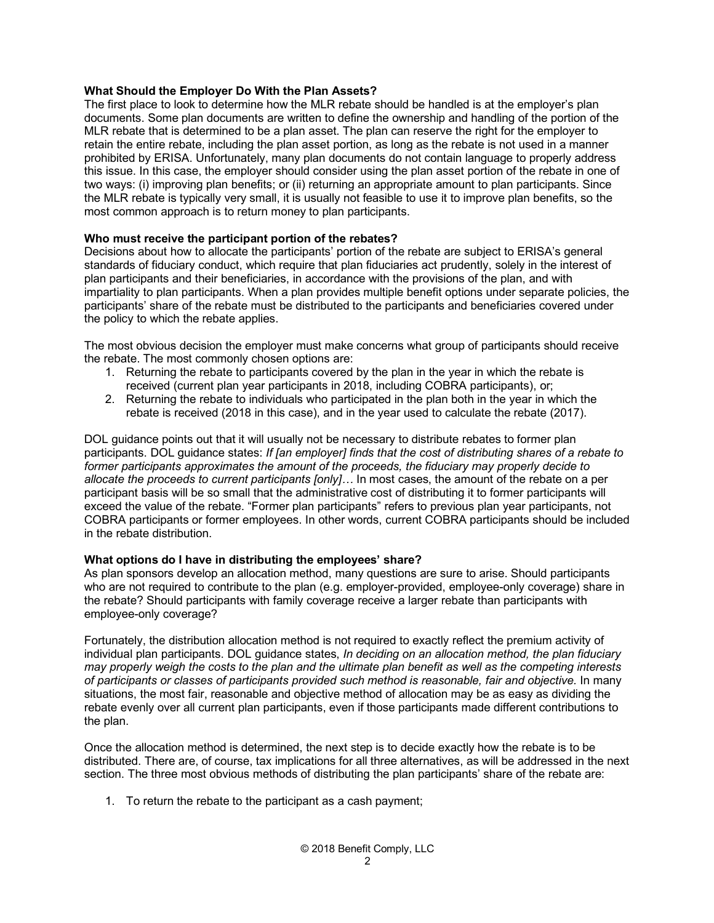### **What Should the Employer Do With the Plan Assets?**

The first place to look to determine how the MLR rebate should be handled is at the employer's plan documents. Some plan documents are written to define the ownership and handling of the portion of the MLR rebate that is determined to be a plan asset. The plan can reserve the right for the employer to retain the entire rebate, including the plan asset portion, as long as the rebate is not used in a manner prohibited by ERISA. Unfortunately, many plan documents do not contain language to properly address this issue. In this case, the employer should consider using the plan asset portion of the rebate in one of two ways: (i) improving plan benefits; or (ii) returning an appropriate amount to plan participants. Since the MLR rebate is typically very small, it is usually not feasible to use it to improve plan benefits, so the most common approach is to return money to plan participants.

### **Who must receive the participant portion of the rebates?**

Decisions about how to allocate the participants' portion of the rebate are subject to ERISA's general standards of fiduciary conduct, which require that plan fiduciaries act prudently, solely in the interest of plan participants and their beneficiaries, in accordance with the provisions of the plan, and with impartiality to plan participants. When a plan provides multiple benefit options under separate policies, the participants' share of the rebate must be distributed to the participants and beneficiaries covered under the policy to which the rebate applies.

The most obvious decision the employer must make concerns what group of participants should receive the rebate. The most commonly chosen options are:

- 1. Returning the rebate to participants covered by the plan in the year in which the rebate is received (current plan year participants in 2018, including COBRA participants), or;
- 2. Returning the rebate to individuals who participated in the plan both in the year in which the rebate is received (2018 in this case), and in the year used to calculate the rebate (2017).

DOL guidance points out that it will usually not be necessary to distribute rebates to former plan participants. DOL guidance states: *If [an employer] finds that the cost of distributing shares of a rebate to former participants approximates the amount of the proceeds, the fiduciary may properly decide to allocate the proceeds to current participants [only]…* In most cases, the amount of the rebate on a per participant basis will be so small that the administrative cost of distributing it to former participants will exceed the value of the rebate. "Former plan participants" refers to previous plan year participants, not COBRA participants or former employees. In other words, current COBRA participants should be included in the rebate distribution.

### **What options do I have in distributing the employees' share?**

As plan sponsors develop an allocation method, many questions are sure to arise. Should participants who are not required to contribute to the plan (e.g. employer-provided, employee-only coverage) share in the rebate? Should participants with family coverage receive a larger rebate than participants with employee-only coverage?

Fortunately, the distribution allocation method is not required to exactly reflect the premium activity of individual plan participants. DOL guidance states, *In deciding on an allocation method, the plan fiduciary may properly weigh the costs to the plan and the ultimate plan benefit as well as the competing interests of participants or classes of participants provided such method is reasonable, fair and objective.* In many situations, the most fair, reasonable and objective method of allocation may be as easy as dividing the rebate evenly over all current plan participants, even if those participants made different contributions to the plan.

Once the allocation method is determined, the next step is to decide exactly how the rebate is to be distributed. There are, of course, tax implications for all three alternatives, as will be addressed in the next section. The three most obvious methods of distributing the plan participants' share of the rebate are:

1. To return the rebate to the participant as a cash payment;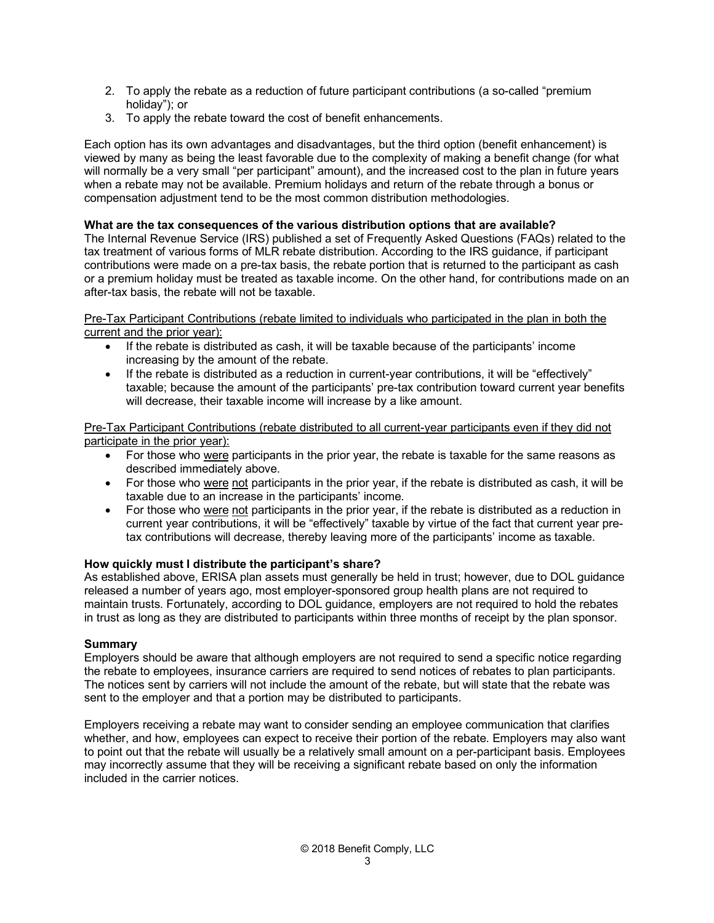- 2. To apply the rebate as a reduction of future participant contributions (a so-called "premium holiday"); or
- 3. To apply the rebate toward the cost of benefit enhancements.

Each option has its own advantages and disadvantages, but the third option (benefit enhancement) is viewed by many as being the least favorable due to the complexity of making a benefit change (for what will normally be a very small "per participant" amount), and the increased cost to the plan in future years when a rebate may not be available. Premium holidays and return of the rebate through a bonus or compensation adjustment tend to be the most common distribution methodologies.

# **What are the tax consequences of the various distribution options that are available?**

The Internal Revenue Service (IRS) published a set of Frequently Asked Questions (FAQs) related to the tax treatment of various forms of MLR rebate distribution. According to the IRS guidance, if participant contributions were made on a pre-tax basis, the rebate portion that is returned to the participant as cash or a premium holiday must be treated as taxable income. On the other hand, for contributions made on an after-tax basis, the rebate will not be taxable.

Pre-Tax Participant Contributions (rebate limited to individuals who participated in the plan in both the current and the prior year):

- If the rebate is distributed as cash, it will be taxable because of the participants' income increasing by the amount of the rebate.
- If the rebate is distributed as a reduction in current-year contributions, it will be "effectively" taxable; because the amount of the participants' pre-tax contribution toward current year benefits will decrease, their taxable income will increase by a like amount.

Pre-Tax Participant Contributions (rebate distributed to all current-year participants even if they did not participate in the prior year):

- For those who were participants in the prior year, the rebate is taxable for the same reasons as described immediately above.
- For those who were not participants in the prior year, if the rebate is distributed as cash, it will be taxable due to an increase in the participants' income.
- For those who were not participants in the prior year, if the rebate is distributed as a reduction in current year contributions, it will be "effectively" taxable by virtue of the fact that current year pretax contributions will decrease, thereby leaving more of the participants' income as taxable.

# **How quickly must I distribute the participant's share?**

As established above, ERISA plan assets must generally be held in trust; however, due to DOL guidance released a number of years ago, most employer-sponsored group health plans are not required to maintain trusts. Fortunately, according to DOL guidance, employers are not required to hold the rebates in trust as long as they are distributed to participants within three months of receipt by the plan sponsor.

# **Summary**

Employers should be aware that although employers are not required to send a specific notice regarding the rebate to employees, insurance carriers are required to send notices of rebates to plan participants. The notices sent by carriers will not include the amount of the rebate, but will state that the rebate was sent to the employer and that a portion may be distributed to participants.

Employers receiving a rebate may want to consider sending an employee communication that clarifies whether, and how, employees can expect to receive their portion of the rebate. Employers may also want to point out that the rebate will usually be a relatively small amount on a per-participant basis. Employees may incorrectly assume that they will be receiving a significant rebate based on only the information included in the carrier notices.